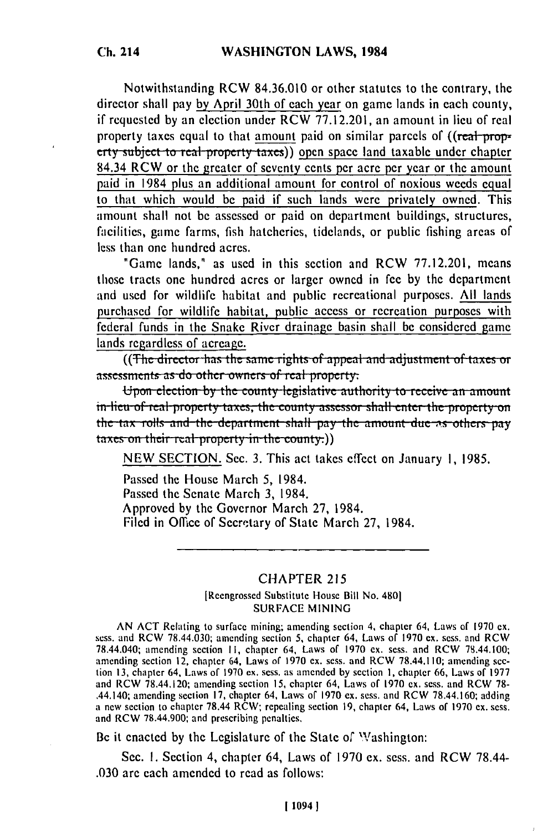Notwithstanding RCW 84.36.010 or other statutes to the contrary, the director shall pay by April 30th of each year on game lands in each county, if requested by an election under RCW 77.12.201, an amount in lieu of real property taxes equal to that amount paid on similar parcels of ((real property subject to real property taxes)) open space land taxable under chapter 84.34 RCW or the greater of seventy cents per acre per year or the amount paid in 1984 plus an additional amount for control of noxious weeds equal to that which would be paid if such lands were privately owned. This amount shall not be assessed or paid on department buildings, structures, facilities, game farms, fish hatcheries, tidelands, or public fishing areas of less than one hundred acres.

"Game lands," as used in this section and RCW 77.12.201, means those tracts one hundred acres or larger owned in fee by the department and used for wildlife habitat and public recreational purposes. All lands purchased for wildlife habitat, public access or recreation purposes with federal funds in the Snake River drainage basin shall be considered game lands regardless of acreage.

((The director has the same rights of appeal and adjustment of taxes or assessments as do other owners of real property.

Upon election by the county legislative authority to receive an amount in-lieu-of-real-property-taxes, the county-assessor shall-enter-the-property-onthe tax rolls and the department shall pay the amount due as others pay taxes on their real property in the county.)

NEW SECTION. Sec. 3. This act takes effect on January 1, 1985.

Passed the House March 5, 1984. Passed the Senate March 3, 1984. Approved by the Governor March 27, 1984. Filed in Office of Secretary of State March 27, 1984.

## **CHAPTER 215**

[Reengrossed Substitute House Bill No. 480] **SURFACE MINING** 

AN ACT Relating to surface mining; amending section 4, chapter 64, Laws of 1970 ex. sess. and RCW 78.44.030; amending section 5, chapter 64, Laws of 1970 ex. sess. and RCW 78.44.040; amending section 11, chapter 64, Laws of 1970 ex. sess. and RCW 78.44.100; amending section 12, chapter 64, Laws of 1970 ex. sess. and RCW 78.44.110; amending section 13, chapter 64, Laws of 1970 ex. sess. as amended by section 1, chapter 66, Laws of 1977 and RCW 78.44.120; amending section 15, chapter 64, Laws of 1970 ex. sess. and RCW 78-.44.140; amending section 17, chapter 64, Laws of 1970 ex. sess. and RCW 78.44.160; adding a new section to chapter 78.44 RCW; repealing section 19, chapter 64, Laws of 1970 ex. sess. and RCW 78.44.900; and prescribing penalties.

Be it enacted by the Legislature of the State of Washington:

Sec. 1. Section 4, chapter 64, Laws of 1970 ex. sess. and RCW 78.44-.030 are each amended to read as follows: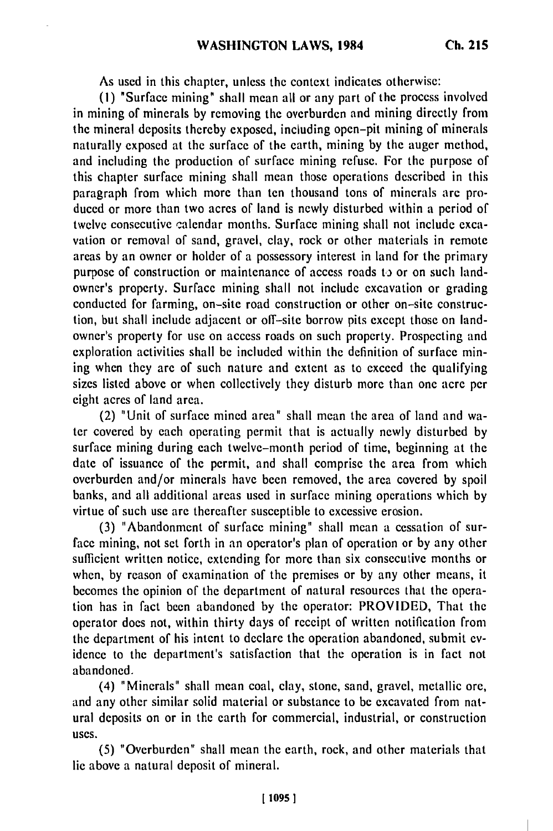As used in this chapter, unless the context indicates otherwise:

(I) "Surface mining" shall mean all or any part of the process involved in mining of minerals by removing the overburden and mining directly from the mineral deposits thereby exposed, including open-pit mining of minerals naturally exposed at the surface of the earth, mining by the auger method, and including the production of surface mining refuse. For the purpose of this chapter surface mining shall mean those operations described in this paragraph from which more than ten thousand tons of minerals are produced or more than two acres of land is newly disturbed within a period of twelve consecutive calendar months. Surface mining shall not include excavation or removal of sand, gravel, clay, rock or other materials in remote areas by an owner or holder of a possessory interest in land for the primary purpose of construction or maintenance of access roads to or on such landowner's property. Surface mining shall not include excavation or grading conducted for farming, on-site road construction or other on-site construction, but shall include adjacent or off-site borrow pits except those on landowner's property for use on access roads on such property. Prospecting and exploration activities shall be included within the definition of surface mining when they are of such nature and extent as to exceed the qualifying sizes listed above or when collectively they disturb more than one acre per eight acres of land area.

(2) "Unit of surface mined area" shall mean the area of land and water covered by each operating permit that is actually newly disturbed by surface mining during each twelve-month period of time, beginning at the date of issuance of the permit, and shall comprise the area from which overburden and/or minerals have been removed, the area covered by spoil banks, and all additional areas used in surface mining operations which by virtue of such use are thereafter susceptible to excessive erosion.

(3) "Abandonment of surface mining" shall mean a cessation of surface mining, not set forth in an operator's plan of operation or by any other sufficient written notice, extending for more than six consecutive months or when, by reason of examination of the premises or by any other means, it becomes the opinion of the department of natural resources that the operation has in fact been abandoned by the operator: PROVIDED, That the operator does not, within thirty days of receipt of written notification from the department of his intent to declare the operation abandoned, submit evidence to the department's satisfaction that the operation is in fact not abandoned.

(4) "Minerals" shall mean coal, clay, stone, sand, gravel, metallic ore, and any other similar solid material or substance to be excavated from natural deposits on or in the earth for commercial, industrial, or construction uses.

(5) "Overburden" shall mean the earth, rock, and other materials that lie above a natural deposit of mineral.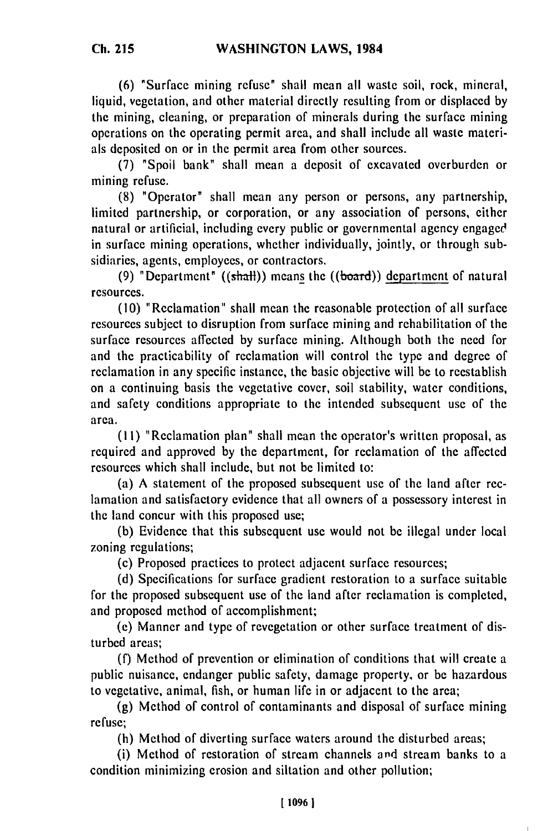**(6)** "Surface mining refuse" shall mean all waste soil, rock, mineral, liquid, vegetation, and other material directly resulting from or displaced by the mining, cleaning, or preparation of minerals during the surface mining operations on the operating permit area, and shall include all waste materials deposited on or in the permit area from other sources.

(7) "Spoil bank" shall mean a deposit of excavated overburden or mining refuse.

(8) "Operator" shall mean any person or persons, any partnership, limited partnership, or corporation, or any association of persons, either natural or artificial, including every public or governmental agency engaged in surface mining operations, whether individually, jointly, or through subsidiaries, agents, employees, or contractors.

(9) "Department" ( $(\text{shall})$ ) means the ( $(\text{board})$ ) department of natural resources.

(10) "Reclamation" shall mean the reasonable protection of all surface resources subject to disruption from surface mining and rehabilitation of the surface resources affected by surface mining. Although both the need for and the practicability of reclamation will control the type and degree of reclamation in any specific instance, the basic objective will be to reestablish on a continuing basis the vegetative cover, soil stability, water conditions, and safety conditions appropriate to the intended subsequent use of the area.

(I1) "Reclamation plan" shall mean the operator's written proposal, as required and approved by the department, for reclamation of the affected resources which shall include, but not be limited to:

(a) A statement of the proposed subsequent use of the land after reclamation and satisfactory evidence that all owners of a possessory interest in the land concur with this proposed use;

(b) Evidence that this subsequent use would not be illegal under local zoning regulations;

(c) Proposed practices to protect adjacent surface resources;

(d) Specifications for surface gradient restoration to a surface suitable for the proposed subsequent use of the land after reclamation is completed, and proposed method of accomplishment;

(e) Manner and type of revegetation or other surface treatment of disturbed areas;

(f) Method of prevention or elimination of conditions that will create a public nuisance, endanger public safety, damage property, or be hazardous to vegetative, animal, fish, or human life in or adjacent to the area;

(g) Method of control of contaminants and disposal of surface mining refuse;

(h) Method of diverting surface waters around the disturbed areas;

(i) Method of restoration of stream channels and stream banks to a condition minimizing erosion and siltation and other pollution;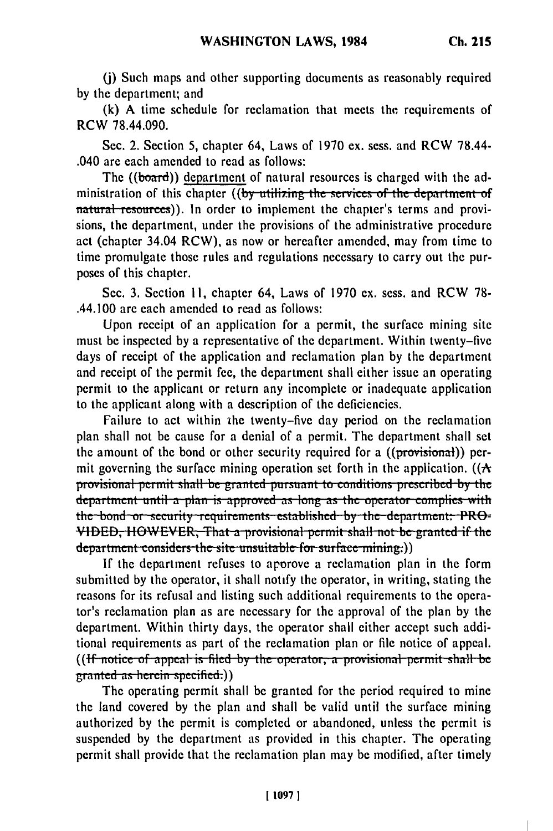(i) Such maps and other supporting documents as reasonably required by the department; and

(k) A time schedule for reclamation that meets the requirements of RCW 78.44.090.

Sec. 2. Section 5, chapter 64, Laws of 1970 ex. sess. and RCW 78.44-.040 are each amended to read as follows:

The ((board)) department of natural resources is charged with the administration of this chapter ((by utilizing the services of the department of natural resources)). In order to implement the chapter's terms and provisions, the department, under the provisions of the administrative procedure act (chapter 34.04 RCW), as now or hereafter amended, may from time to time promulgate those rules and regulations necessary to carry out the purposes of this chapter.

Sec. 3. Section 11, chapter 64, Laws of 1970 ex. sess. and RCW 78-.44.100 are each amended to read as follows:

Upon receipt of an application for a permit, the surface mining site must be inspected by a representative of the department. Within twenty-five days of receipt of the application and reclamation plan by the department and receipt of the permit fee, the department shall either issue an operating permit to the applicant or return any incomplete or inadequate application to the applicant along with a description of the deficiencies.

Failure to act within the twenty-five day period on the reclamation plan shall not be cause for a denial of a permit. The department shall set the amount of the bond or other security required for a ((provisional)) permit governing the surface mining operation set forth in the application. ( $(A)$ provisional permit shall be granted pursuant to conditions prescribed by the department until a plan is approved as long as the operator complies with the bond or security requirements established by the department. PRO-VIDED, HOWEVER, That a provisional permit shall not be granted if the department considers the site unsuitable for surface mining.)

If the department refuses to approve a reclamation plan in the form submitted by the operator, it shall notify the operator, in writing, stating the reasons for its refusal and listing such additional requirements to the operator's reclamation plan as are necessary for the approval of the plan by the department. Within thirty days, the operator shall either accept such additional requirements as part of the reclamation plan or file notice of appeal. ((If notice of appeal is filed by the operator, a provisional permit shall be granted as herein specified.))

The operating permit shall be granted for the period required to mine the land covered by the plan and shall be valid until the surface mining authorized by the permit is completed or abandoned, unless the permit is suspended by the department as provided in this chapter. The operating permit shall provide that the reclamation plan may be modified, after timely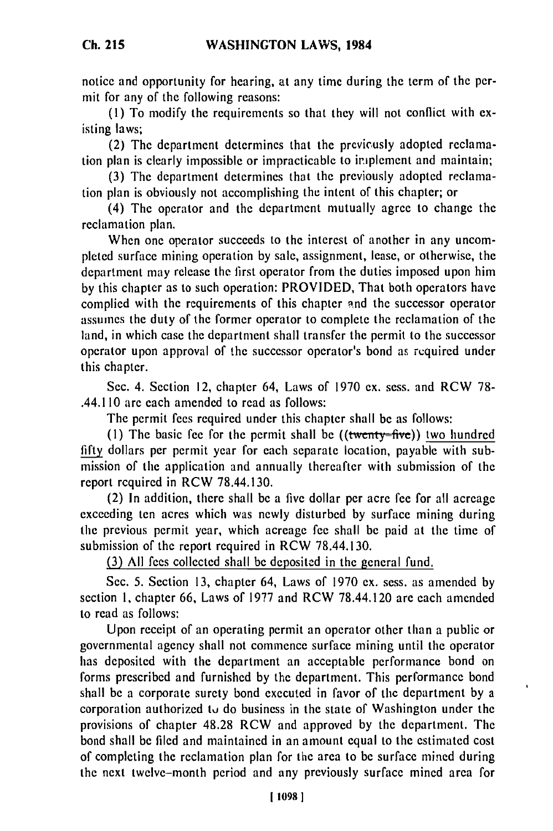**Ch. 215**

notice and opportunity for hearing, at any time during the term of the permit for any of the following reasons:

**(1)** To modify the requirements so that they will not conflict with existing laws;

(2) The department determines that the previcusly adopted reclamation plan is clearly impossible or impracticable to iriplement and maintain;

(3) The department determines that the previously adopted reclamation plan is obviously not accomplishing the intent of this chapter; or

(4) The operator and the department mutually agree to change the reclamation plan.

When one operator succeeds to the interest of another in any uncompleted surface mining operation by sale, assignment, lease, or otherwise, the department may release the first operator from the duties imposed upon him by this chapter as to such operation: PROVIDED, That both operators have complied with the requirements of this chapter and the successor operator assumes the duty of the former operator to complete the reclamation of the land, in which case the department shall transfer the permit to the successor operator upon approval of the successor operator's bond as required under this chapter.

Sec. 4. Section 12, chapter 64, Laws of 1970 ex. sess. and RCW 78- .44.110 are each amended to read as follows:

The permit fees required under this chapter shall be as follows:

**(I)** The basic fee for the permit shall be ((twenty-five)) two hundred fifty dollars per permit year for each separate location, payable with submission of the application and annually thereafter with submission of the report required in RCW 78.44.130.

(2) In addition, there shall be a five dollar per acre fee for all acreage exceeding ten acres which was newly disturbed by surface mining during the previous permit year, which acreage fee shall be paid at the time of submission of the report required in RCW 78.44.130.

**(3)** All fees collected shall be deposited in the general fund.

Sec. 5. Section 13, chapter 64, Laws of 1970 ex. sess. as amended by section 1, chapter 66, Laws of 1977 and RCW 78.44.120 are each amended to read as follows:

Upon receipt of an operating permit an operator other than a public or governmental agency shall not commence surface mining until the operator has deposited with the department an acceptable performance bond on forms prescribed and furnished by the department. This performance bond shall be a corporate surety bond executed in favor of the department by a corporation authorized tu do business in the state of Washington under the provisions of chapter 48.28 RCW and approved by the department. The bond shall be filed and maintained in an amount equal to the estimated cost of completing the reclamation plan for the area to be surface mined during the next twelve-month period and any previously surface mined area for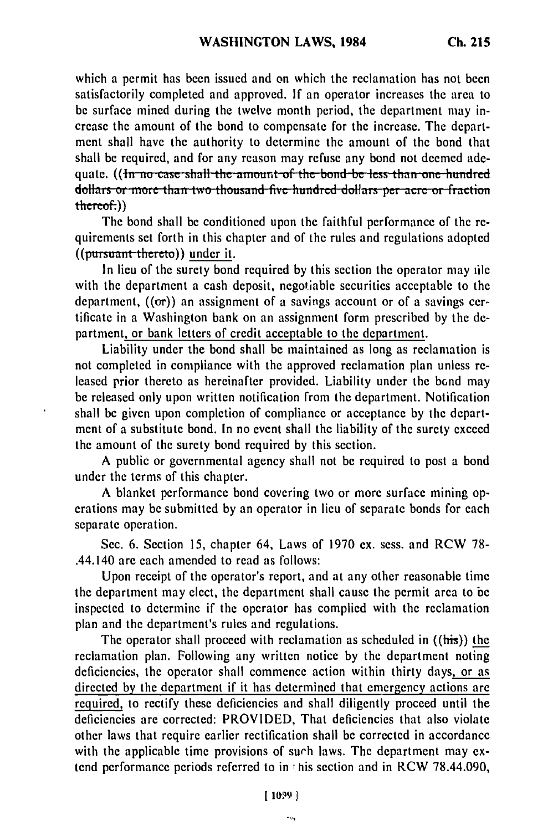which a permit has been issued and on which the reclamation has not been satisfactorily completed and approved. If an operator increases the area to be surface mined during the twelve month period, the department may increase the amount of the bond to compensate for the increase. The department shall have the authority to determine the amount of the bond that shall be required, and for any reason may refuse any bond not deemed ade**guate. ((In no case shall the amount of the bond be less than one hundred** dollars or more than two thousand five hundred dollars per acre or fraction  $therefore$ )

The bond shall be conditioned upon the faithful performance of the requirements set forth in this chapter and of the rules and regulations adopted  $((\text{pursun} + \text{thereto}))$  under it.

In lieu of the surety bond required by this section the operator may file with the department a cash deposit, negotiable securities acceptable to the department,  $((or))$  an assignment of a savings account or of a savings certificate in a Washington bank on an assignment form prescribed by the department, or bank letters of credit acceptable to the department.

Liability under the bond shall be maintained as long as reclamation is not completed in compliance with the approved reclamation plan unless released prior thereto as hereinafter provided. Liability under the bond may be released only upon written notification from the department. Notification shall be given upon completion of compliance or acceptance by the department of a substitute bond. In no event shall the liability of the surety exceed the amount of the surety bond required by this section.

A public or governmental agency shall not be required to post a bond under the terms of this chapter.

A blanket performance bond covering two or more surface mining operations may be submitted by an operator in lieu of separate bonds for each separate operation.

Sec. 6. Section 15, chapter 64, Laws of 1970 ex. sess. and RCW 78- .44.140 are each amended to read as follows:

Upon receipt of the operator's report, and at any other reasonable time the department may elect, the department shall cause the permit area to be inspected to determine if the operator has complied with the reclamation plan and the department's rules and regulations.

The operator shall proceed with reclamation as scheduled in ((his)) the reclamation plan. Following any written notice by the department noting deficiencies, the operator shall commence action within thirty days, or as directed **by** the department if it has determined that emergency actions are required, to rectify these deficiencies and shall diligently proceed until the deficiencies are corrected: PROVIDED, That deficiencies that also violate other laws that require earlier rectification shall be corrected in accordance with the applicable time provisions of such laws. The department may extend performance periods referred to in **i** his section and in RCW 78.44.090,

 $\mathbf{v}_{\text{max}}$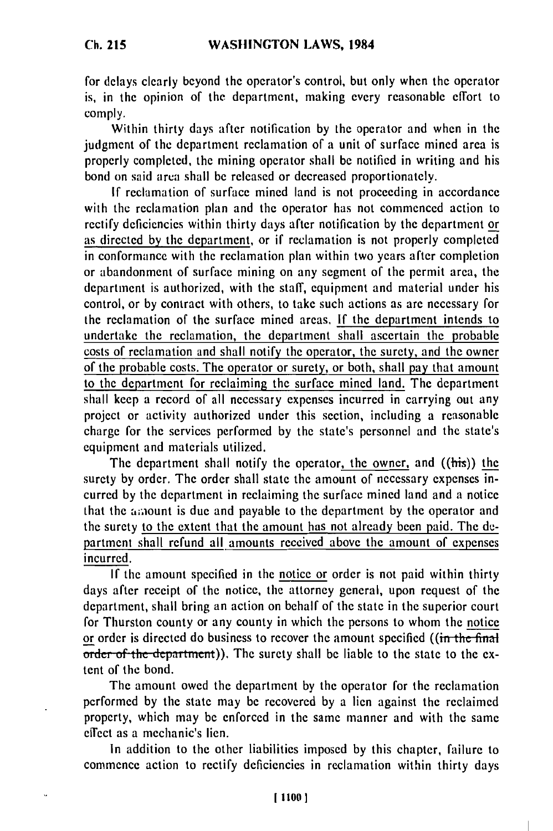for delays clearly beyond the operator's control, but only when the operator is, in the opinion of the department, making every reasonable effort to comply.

Within thirty days after notification by the operator and when in the judgment of the department reclamation of a unit of surface mined area is properly completed, the mining operator shall be notified in writing and his bond on said area shall be released or decreased proportionately.

If reclamation of surface mined land is not proceeding in accordance with the reclamation plan and the operator has not commenced action to rectify deficiencies within thirty days after notification by the department or as directed by the department, or if reclamation is not properly completed in conformance with the reclamation plan within two years after completion or abandonment of surface mining on any segment of the permit area, the department is authorized, with the staff, equipment and material under his control, or by contract with others, to take such actions as are necessary for the reclamation of the surface mined areas. If the department intends to undertake the reclamation, the department shall ascertain the probable costs of reclamation and shall notify the operator, the surety, and the owner of the probable costs. The operator or surety, or both, shall pay that amount to the department for reclaiming the surface mined land. The department shall keep a record of all necessary expenses incurred in carrying out any project or activity authorized under this section, including a reasonable charge for the services performed by the state's personnel and the state's equipment and materials utilized.

The department shall notify the operator, the owner, and ((his)) the surety by order. The order shall state the amount of necessary expenses incurred by the department in reclaiming the surface mined land and a notice that the amount is due and payable to the department by the operator and the surety to the extent that the amount has not already been paid. The department shall refund all amounts received above the amount of expenses incurred.

If the amount specified in the notice or order is not paid within thirty days after receipt of the notice, the attorney general, upon request of the department, shall bring an action on behalf of the state in the superior court for Thurston county or any county in which the persons to whom the notice or order is directed do business to recover the amount specified ((in the final order of the department)). The surety shall be liable to the state to the extent of the bond.

The amount owed the department by the operator for the reclamation performed by the state may be recovered by a lien against the reclaimed property, which may be enforced in the same manner and with the same effect as a mechanic's lien.

In addition to the other liabilities imposed by this chapter, failure to commence action to rectify deficiencies in reclamation within thirty days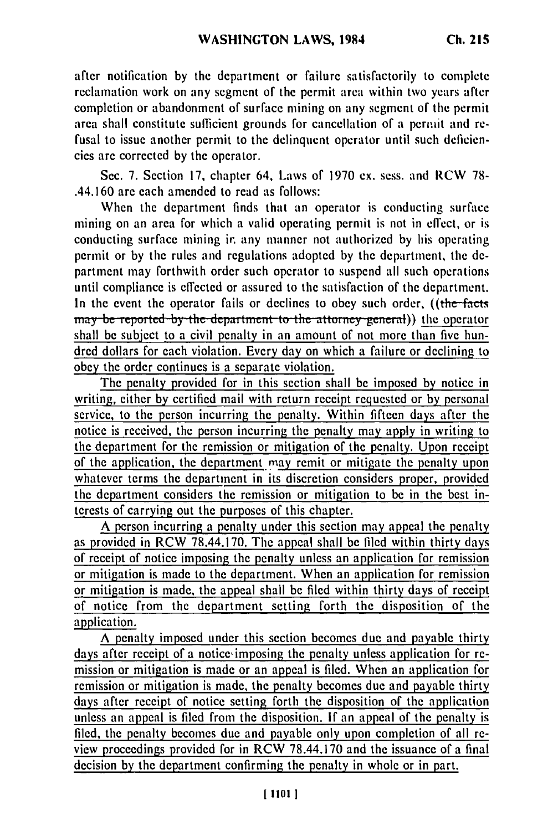after notification **by** the department or failure satisfactorily to complete reclamation work on any segment of the permit area within two years after completion or abandonment of surface mining on any segment of the permit area shall constitute sufficient grounds for cancellation of a permit and refusal to issue another permit to the delinquent operator until such deficiencies are corrected by the operator.

Sec. 7. Section 17, chapter 64, Laws of 1970 ex. sess. and RCW 78- .44.160 are each amended to read as follows:

When the department finds that an operator is conducting surface mining on an area for which a valid operating permit is not in effect, or is conducting surface mining ir. any manner not authorized by his operating permit or by the rules and regulations adopted by the department, the department may forthwith order such operator to suspend all such operations until compliance is effected or assured to the satisfaction of the department. In the event the operator fails or declines to obey such order, ((the **facts** *nay* be reported by the department to the attorney general)) the operator shall be subject to a civil penalty in an amount of not more than five hundred dollars for each violation. Every day on which a failure or declining to obey the order continues is a separate violation.

The penalty provided for in this section shall be imposed by notice in writing, either by certified mail with return receipt requested or by personal service, to the person incurring the penalty. Within fifteen days after the notice is received, the person incurring the penalty may apply in writing to the department for the remission or mitigation of the penalty. Upon receipt of the application, the department *may* remit or mitigate the penalty upon whatever terms the department in its discretion considers proper, provided the department considers the remission or mitigation to be in the best interests of carrying out the purposes of this chapter.

A person incurring a penalty under this section may appeal the penalty as provided in RCW 78.44.170. The appeal shall be filed within thirty days of receipt of notice imposing the penalty unless an application for remission or mitigation is made to the department. When an application for remission or mitigation is made, the appeal shall be filed within thirty days of receipt of notice from the department setting forth the disposition of the application.

A penalty imposed under this section becomes due and payable thirty days after receipt of a notice imposing the penalty unless application for remission or mitigation is made or an appeal is filed. When an application for remission or mitigation is made, the penalty becomes due and payable thirty days after receipt of notice setting forth the disposition of the application unless an appeal is filed from the disposition. **If** an appeal of the penalty is filed, the penalty becomes due and payable only upon completion of all review proceedings provided for in RCW 78.44.170 and the issuance of a final decision by the department confirming the penalty in whole or in part.